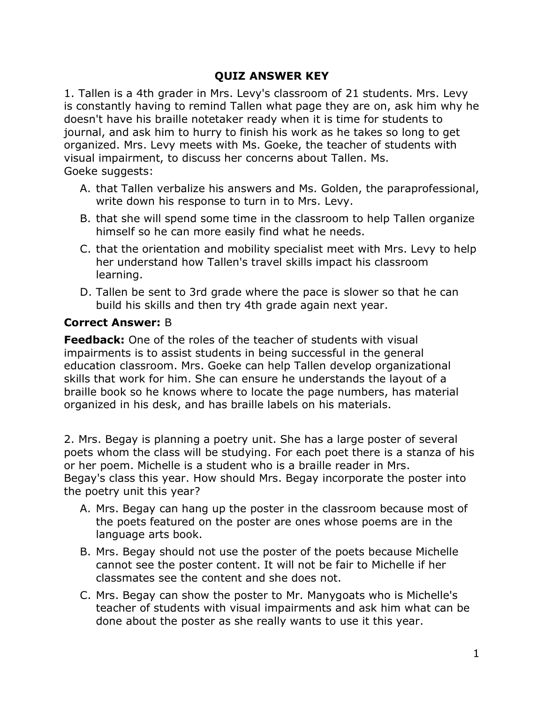#### **QUIZ ANSWER KEY**

1. Tallen is a 4th grader in Mrs. Levy's classroom of 21 students. Mrs. Levy is constantly having to remind Tallen what page they are on, ask him why he doesn't have his braille notetaker ready when it is time for students to journal, and ask him to hurry to finish his work as he takes so long to get organized. Mrs. Levy meets with Ms. Goeke, the teacher of students with visual impairment, to discuss her concerns about Tallen. Ms. Goeke suggests:

- A. that Tallen verbalize his answers and Ms. Golden, the paraprofessional, write down his response to turn in to Mrs. Levy.
- B. that she will spend some time in the classroom to help Tallen organize himself so he can more easily find what he needs.
- C. that the orientation and mobility specialist meet with Mrs. Levy to help her understand how Tallen's travel skills impact his classroom learning.
- D. Tallen be sent to 3rd grade where the pace is slower so that he can build his skills and then try 4th grade again next year.

#### **Correct Answer:** B

**Feedback:** One of the roles of the teacher of students with visual impairments is to assist students in being successful in the general education classroom. Mrs. Goeke can help Tallen develop organizational skills that work for him. She can ensure he understands the layout of a braille book so he knows where to locate the page numbers, has material organized in his desk, and has braille labels on his materials.

2. Mrs. Begay is planning a poetry unit. She has a large poster of several poets whom the class will be studying. For each poet there is a stanza of his or her poem. Michelle is a student who is a braille reader in Mrs. Begay's class this year. How should Mrs. Begay incorporate the poster into the poetry unit this year?

- A. Mrs. Begay can hang up the poster in the classroom because most of the poets featured on the poster are ones whose poems are in the language arts book.
- B. Mrs. Begay should not use the poster of the poets because Michelle cannot see the poster content. It will not be fair to Michelle if her classmates see the content and she does not.
- C. Mrs. Begay can show the poster to Mr. Manygoats who is Michelle's teacher of students with visual impairments and ask him what can be done about the poster as she really wants to use it this year.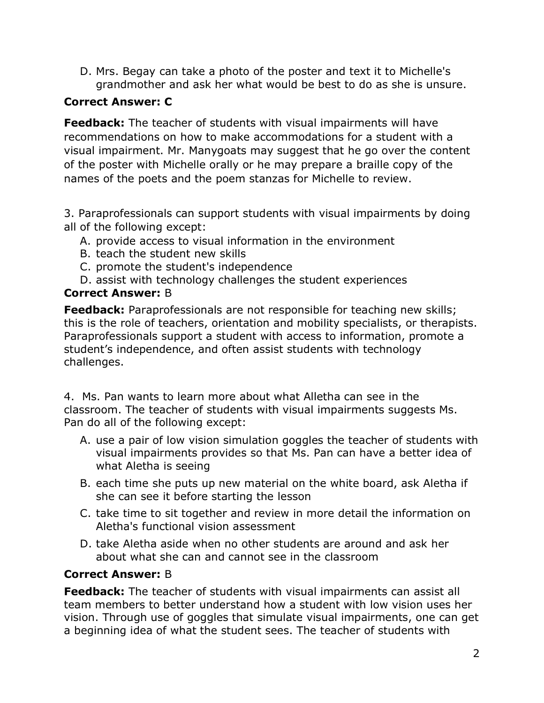D. Mrs. Begay can take a photo of the poster and text it to Michelle's grandmother and ask her what would be best to do as she is unsure.

## **Correct Answer: C**

**Feedback:** The teacher of students with visual impairments will have recommendations on how to make accommodations for a student with a visual impairment. Mr. Manygoats may suggest that he go over the content of the poster with Michelle orally or he may prepare a braille copy of the names of the poets and the poem stanzas for Michelle to review.

3. Paraprofessionals can support students with visual impairments by doing all of the following except:

- A. provide access to visual information in the environment
- B. teach the student new skills
- C. promote the student's independence
- D. assist with technology challenges the student experiences

## **Correct Answer:** B

**Feedback:** Paraprofessionals are not responsible for teaching new skills; this is the role of teachers, orientation and mobility specialists, or therapists. Paraprofessionals support a student with access to information, promote a student's independence, and often assist students with technology challenges.

4. Ms. Pan wants to learn more about what Alletha can see in the classroom. The teacher of students with visual impairments suggests Ms. Pan do all of the following except:

- A. use a pair of low vision simulation goggles the teacher of students with visual impairments provides so that Ms. Pan can have a better idea of what Aletha is seeing
- B. each time she puts up new material on the white board, ask Aletha if she can see it before starting the lesson
- C. take time to sit together and review in more detail the information on Aletha's functional vision assessment
- D. take Aletha aside when no other students are around and ask her about what she can and cannot see in the classroom

# **Correct Answer:** B

**Feedback:** The teacher of students with visual impairments can assist all team members to better understand how a student with low vision uses her vision. Through use of goggles that simulate visual impairments, one can get a beginning idea of what the student sees. The teacher of students with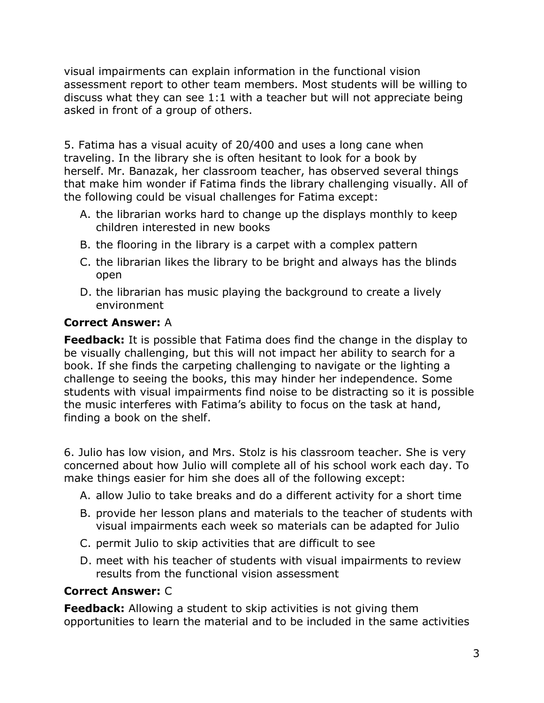visual impairments can explain information in the functional vision assessment report to other team members. Most students will be willing to discuss what they can see 1:1 with a teacher but will not appreciate being asked in front of a group of others.

5. Fatima has a visual acuity of 20/400 and uses a long cane when traveling. In the library she is often hesitant to look for a book by herself. Mr. Banazak, her classroom teacher, has observed several things that make him wonder if Fatima finds the library challenging visually. All of the following could be visual challenges for Fatima except:

- A. the librarian works hard to change up the displays monthly to keep children interested in new books
- B. the flooring in the library is a carpet with a complex pattern
- C. the librarian likes the library to be bright and always has the blinds open
- D. the librarian has music playing the background to create a lively environment

## **Correct Answer:** A

**Feedback:** It is possible that Fatima does find the change in the display to be visually challenging, but this will not impact her ability to search for a book. If she finds the carpeting challenging to navigate or the lighting a challenge to seeing the books, this may hinder her independence. Some students with visual impairments find noise to be distracting so it is possible the music interferes with Fatima's ability to focus on the task at hand, finding a book on the shelf.

6. Julio has low vision, and Mrs. Stolz is his classroom teacher. She is very concerned about how Julio will complete all of his school work each day. To make things easier for him she does all of the following except:

- A. allow Julio to take breaks and do a different activity for a short time
- B. provide her lesson plans and materials to the teacher of students with visual impairments each week so materials can be adapted for Julio
- C. permit Julio to skip activities that are difficult to see
- D. meet with his teacher of students with visual impairments to review results from the functional vision assessment

## **Correct Answer:** C

**Feedback:** Allowing a student to skip activities is not giving them opportunities to learn the material and to be included in the same activities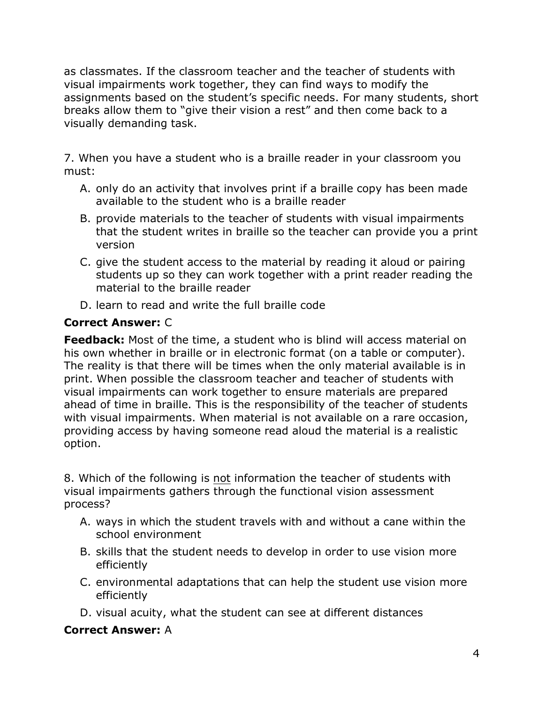as classmates. If the classroom teacher and the teacher of students with visual impairments work together, they can find ways to modify the assignments based on the student's specific needs. For many students, short breaks allow them to "give their vision a rest" and then come back to a visually demanding task.

7. When you have a student who is a braille reader in your classroom you must:

- A. only do an activity that involves print if a braille copy has been made available to the student who is a braille reader
- B. provide materials to the teacher of students with visual impairments that the student writes in braille so the teacher can provide you a print version
- C. give the student access to the material by reading it aloud or pairing students up so they can work together with a print reader reading the material to the braille reader
- D. learn to read and write the full braille code

# **Correct Answer:** C

**Feedback:** Most of the time, a student who is blind will access material on his own whether in braille or in electronic format (on a table or computer). The reality is that there will be times when the only material available is in print. When possible the classroom teacher and teacher of students with visual impairments can work together to ensure materials are prepared ahead of time in braille. This is the responsibility of the teacher of students with visual impairments. When material is not available on a rare occasion, providing access by having someone read aloud the material is a realistic option.

8. Which of the following is not information the teacher of students with visual impairments gathers through the functional vision assessment process?

- A. ways in which the student travels with and without a cane within the school environment
- B. skills that the student needs to develop in order to use vision more efficiently
- C. environmental adaptations that can help the student use vision more efficiently
- D. visual acuity, what the student can see at different distances

## **Correct Answer:** A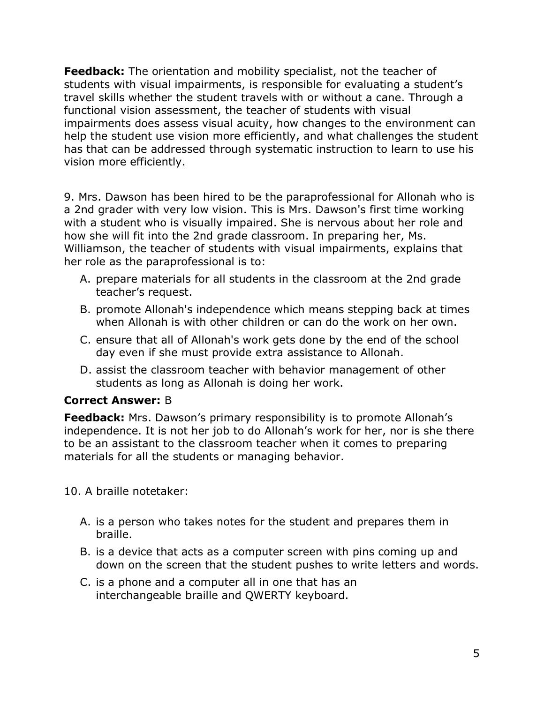**Feedback:** The orientation and mobility specialist, not the teacher of students with visual impairments, is responsible for evaluating a student's travel skills whether the student travels with or without a cane. Through a functional vision assessment, the teacher of students with visual impairments does assess visual acuity, how changes to the environment can help the student use vision more efficiently, and what challenges the student has that can be addressed through systematic instruction to learn to use his vision more efficiently.

9. Mrs. Dawson has been hired to be the paraprofessional for Allonah who is a 2nd grader with very low vision. This is Mrs. Dawson's first time working with a student who is visually impaired. She is nervous about her role and how she will fit into the 2nd grade classroom. In preparing her, Ms. Williamson, the teacher of students with visual impairments, explains that her role as the paraprofessional is to:

- A. prepare materials for all students in the classroom at the 2nd grade teacher's request.
- B. promote Allonah's independence which means stepping back at times when Allonah is with other children or can do the work on her own.
- C. ensure that all of Allonah's work gets done by the end of the school day even if she must provide extra assistance to Allonah.
- D. assist the classroom teacher with behavior management of other students as long as Allonah is doing her work.

## **Correct Answer:** B

**Feedback:** Mrs. Dawson's primary responsibility is to promote Allonah's independence. It is not her job to do Allonah's work for her, nor is she there to be an assistant to the classroom teacher when it comes to preparing materials for all the students or managing behavior.

10. A braille notetaker:

- A. is a person who takes notes for the student and prepares them in braille.
- B. is a device that acts as a computer screen with pins coming up and down on the screen that the student pushes to write letters and words.
- C. is a phone and a computer all in one that has an interchangeable braille and QWERTY keyboard.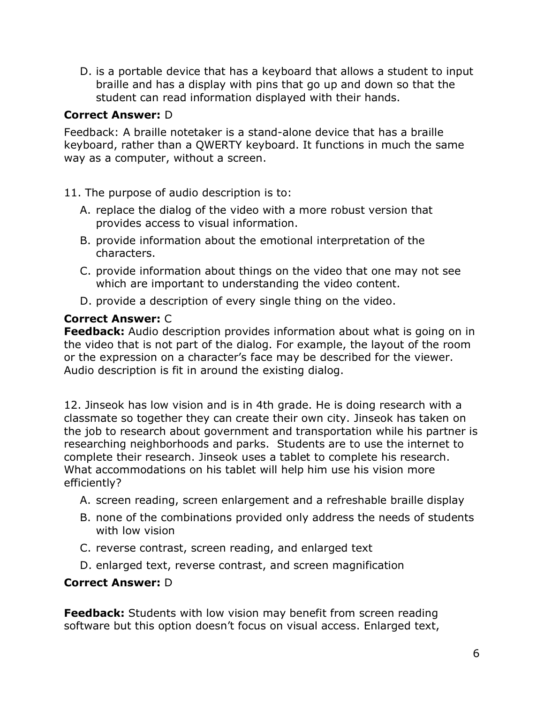D. is a portable device that has a keyboard that allows a student to input braille and has a display with pins that go up and down so that the student can read information displayed with their hands.

## **Correct Answer:** D

Feedback: A braille notetaker is a stand-alone device that has a braille keyboard, rather than a QWERTY keyboard. It functions in much the same way as a computer, without a screen.

## 11. The purpose of audio description is to:

- A. replace the dialog of the video with a more robust version that provides access to visual information.
- B. provide information about the emotional interpretation of the characters.
- C. provide information about things on the video that one may not see which are important to understanding the video content.
- D. provide a description of every single thing on the video.

## **Correct Answer:** C

**Feedback:** Audio description provides information about what is going on in the video that is not part of the dialog. For example, the layout of the room or the expression on a character's face may be described for the viewer. Audio description is fit in around the existing dialog.

12. Jinseok has low vision and is in 4th grade. He is doing research with a classmate so together they can create their own city. Jinseok has taken on the job to research about government and transportation while his partner is researching neighborhoods and parks. Students are to use the internet to complete their research. Jinseok uses a tablet to complete his research. What accommodations on his tablet will help him use his vision more efficiently?

- A. screen reading, screen enlargement and a refreshable braille display
- B. none of the combinations provided only address the needs of students with low vision
- C. reverse contrast, screen reading, and enlarged text
- D. enlarged text, reverse contrast, and screen magnification

## **Correct Answer:** D

**Feedback:** Students with low vision may benefit from screen reading software but this option doesn't focus on visual access. Enlarged text,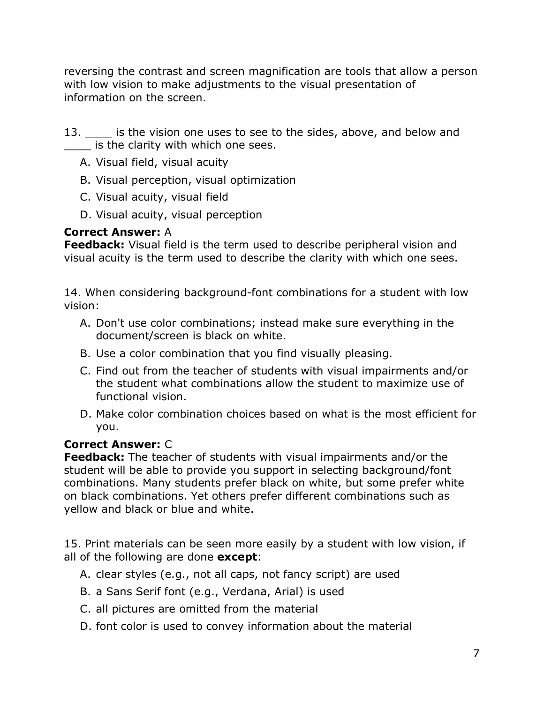reversing the contrast and screen magnification are tools that allow a person with low vision to make adjustments to the visual presentation of information on the screen.

- 13. Extemdist is the vision one uses to see to the sides, above, and below and is the clarity with which one sees.
	- A. Visual field, visual acuity
	- B. Visual perception, visual optimization
	- C. Visual acuity, visual field
	- D. Visual acuity, visual perception

# **Correct Answer:** A

**Feedback:** Visual field is the term used to describe peripheral vision and visual acuity is the term used to describe the clarity with which one sees.

14. When considering background-font combinations for a student with low vision:

- A. Don't use color combinations; instead make sure everything in the document/screen is black on white.
- B. Use a color combination that you find visually pleasing.
- C. Find out from the teacher of students with visual impairments and/or the student what combinations allow the student to maximize use of functional vision.
- D. Make color combination choices based on what is the most efficient for you.

# **Correct Answer:** C

**Feedback:** The teacher of students with visual impairments and/or the student will be able to provide you support in selecting background/font combinations. Many students prefer black on white, but some prefer white on black combinations. Yet others prefer different combinations such as yellow and black or blue and white.

15. Print materials can be seen more easily by a student with low vision, if all of the following are done **except**:

- A. clear styles (e.g., not all caps, not fancy script) are used
- B. a Sans Serif font (e.g., Verdana, Arial) is used
- C. all pictures are omitted from the material
- D. font color is used to convey information about the material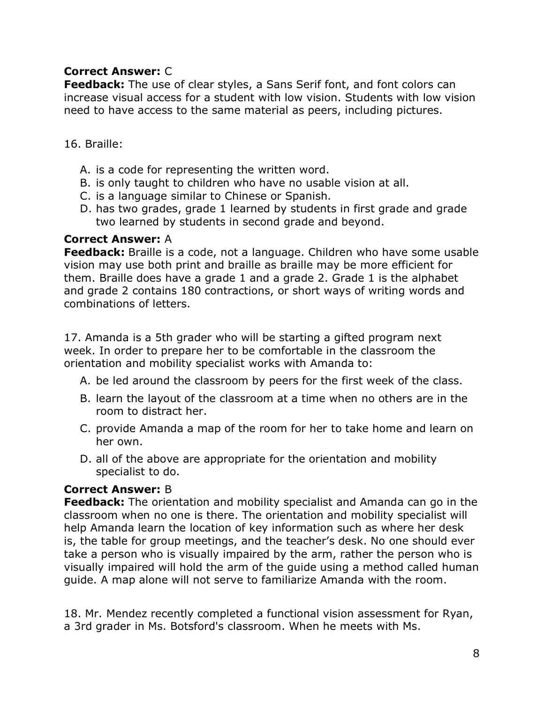## **Correct Answer:** C

**Feedback:** The use of clear styles, a Sans Serif font, and font colors can increase visual access for a student with low vision. Students with low vision need to have access to the same material as peers, including pictures.

#### 16. Braille:

- A. is a code for representing the written word.
- B. is only taught to children who have no usable vision at all.
- C. is a language similar to Chinese or Spanish.
- D. has two grades, grade 1 learned by students in first grade and grade two learned by students in second grade and beyond.

#### **Correct Answer:** A

**Feedback:** Braille is a code, not a language. Children who have some usable vision may use both print and braille as braille may be more efficient for them. Braille does have a grade 1 and a grade 2. Grade 1 is the alphabet and grade 2 contains 180 contractions, or short ways of writing words and combinations of letters.

17. Amanda is a 5th grader who will be starting a gifted program next week. In order to prepare her to be comfortable in the classroom the orientation and mobility specialist works with Amanda to:

- A. be led around the classroom by peers for the first week of the class.
- B. learn the layout of the classroom at a time when no others are in the room to distract her.
- C. provide Amanda a map of the room for her to take home and learn on her own.
- D. all of the above are appropriate for the orientation and mobility specialist to do.

## **Correct Answer:** B

**Feedback:** The orientation and mobility specialist and Amanda can go in the classroom when no one is there. The orientation and mobility specialist will help Amanda learn the location of key information such as where her desk is, the table for group meetings, and the teacher's desk. No one should ever take a person who is visually impaired by the arm, rather the person who is visually impaired will hold the arm of the guide using a method called human guide. A map alone will not serve to familiarize Amanda with the room.

18. Mr. Mendez recently completed a functional vision assessment for Ryan, a 3rd grader in Ms. Botsford's classroom. When he meets with Ms.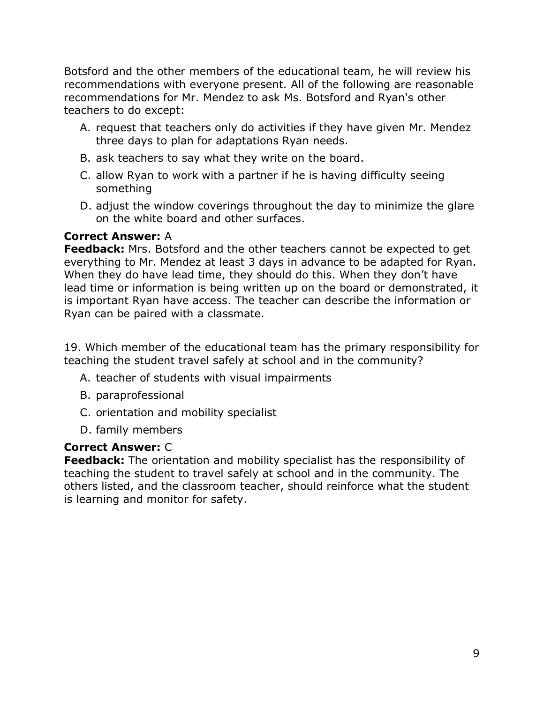Botsford and the other members of the educational team, he will review his recommendations with everyone present. All of the following are reasonable recommendations for Mr. Mendez to ask Ms. Botsford and Ryan's other teachers to do except:

- A. request that teachers only do activities if they have given Mr. Mendez three days to plan for adaptations Ryan needs.
- B. ask teachers to say what they write on the board.
- C. allow Ryan to work with a partner if he is having difficulty seeing something
- D. adjust the window coverings throughout the day to minimize the glare on the white board and other surfaces.

#### **Correct Answer:** A

**Feedback:** Mrs. Botsford and the other teachers cannot be expected to get everything to Mr. Mendez at least 3 days in advance to be adapted for Ryan. When they do have lead time, they should do this. When they don't have lead time or information is being written up on the board or demonstrated, it is important Ryan have access. The teacher can describe the information or Ryan can be paired with a classmate.

19. Which member of the educational team has the primary responsibility for teaching the student travel safely at school and in the community?

- A. teacher of students with visual impairments
- B. paraprofessional
- C. orientation and mobility specialist
- D. family members

## **Correct Answer:** C

**Feedback:** The orientation and mobility specialist has the responsibility of teaching the student to travel safely at school and in the community. The others listed, and the classroom teacher, should reinforce what the student is learning and monitor for safety.